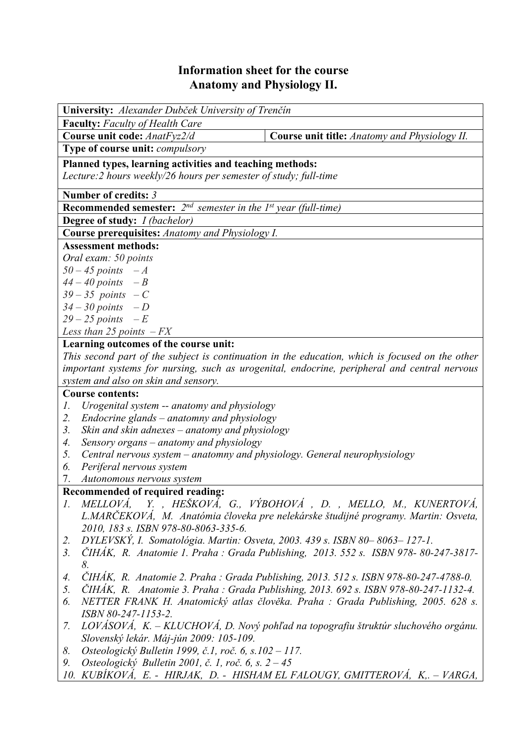## **Information sheet for the course Anatomy and Physiology II.**

| <b>University:</b> Alexander Dubček University of Trenčín                                                                                                                                       |                                                                                      |  |  |  |  |  |
|-------------------------------------------------------------------------------------------------------------------------------------------------------------------------------------------------|--------------------------------------------------------------------------------------|--|--|--|--|--|
| <b>Faculty:</b> Faculty of Health Care                                                                                                                                                          |                                                                                      |  |  |  |  |  |
| Course unit code: AnatFyz2/d                                                                                                                                                                    | Course unit title: Anatomy and Physiology II.                                        |  |  |  |  |  |
| Type of course unit: <i>compulsory</i>                                                                                                                                                          |                                                                                      |  |  |  |  |  |
| Planned types, learning activities and teaching methods:                                                                                                                                        |                                                                                      |  |  |  |  |  |
| Lecture: 2 hours weekly/26 hours per semester of study; full-time                                                                                                                               |                                                                                      |  |  |  |  |  |
| Number of credits: 3                                                                                                                                                                            |                                                                                      |  |  |  |  |  |
| <b>Recommended semester:</b> $2^{nd}$ semester in the 1st year (full-time)                                                                                                                      |                                                                                      |  |  |  |  |  |
| <b>Degree of study:</b> <i>I (bachelor)</i>                                                                                                                                                     |                                                                                      |  |  |  |  |  |
| Course prerequisites: Anatomy and Physiology I.                                                                                                                                                 |                                                                                      |  |  |  |  |  |
| <b>Assessment methods:</b>                                                                                                                                                                      |                                                                                      |  |  |  |  |  |
| Oral exam: 50 points                                                                                                                                                                            |                                                                                      |  |  |  |  |  |
| $50 - 45$ points $-A$                                                                                                                                                                           |                                                                                      |  |  |  |  |  |
| $44 - 40$ points $-B$                                                                                                                                                                           |                                                                                      |  |  |  |  |  |
| $39 - 35$ points $-C$                                                                                                                                                                           |                                                                                      |  |  |  |  |  |
| $34 - 30$ points $-D$                                                                                                                                                                           |                                                                                      |  |  |  |  |  |
| $29 - 25$ points $-E$                                                                                                                                                                           |                                                                                      |  |  |  |  |  |
| Less than 25 points $-FX$<br>Learning outcomes of the course unit:                                                                                                                              |                                                                                      |  |  |  |  |  |
|                                                                                                                                                                                                 |                                                                                      |  |  |  |  |  |
| This second part of the subject is continuation in the education, which is focused on the other<br>important systems for nursing, such as urogenital, endocrine, peripheral and central nervous |                                                                                      |  |  |  |  |  |
| system and also on skin and sensory.                                                                                                                                                            |                                                                                      |  |  |  |  |  |
| <b>Course contents:</b>                                                                                                                                                                         |                                                                                      |  |  |  |  |  |
| Urogenital system -- anatomy and physiology<br>Ι.                                                                                                                                               |                                                                                      |  |  |  |  |  |
| 2.<br>Endocrine glands – anatomny and physiology                                                                                                                                                |                                                                                      |  |  |  |  |  |
| Skin and skin adnexes – anatomy and physiology<br>3.                                                                                                                                            |                                                                                      |  |  |  |  |  |
| Sensory organs – anatomy and physiology<br>4.                                                                                                                                                   |                                                                                      |  |  |  |  |  |
| 5.<br>Central nervous system – anatomny and physiology. General neurophysiology                                                                                                                 |                                                                                      |  |  |  |  |  |
| Periferal nervous system<br>6.                                                                                                                                                                  |                                                                                      |  |  |  |  |  |
| 7.<br>Autonomous nervous system                                                                                                                                                                 |                                                                                      |  |  |  |  |  |
| Recommended of required reading:                                                                                                                                                                |                                                                                      |  |  |  |  |  |
| $\mathcal{I}$ .                                                                                                                                                                                 | MELLOVÁ, Y., HEŠKOVÁ, G., VÝBOHOVÁ, D., MELLO, M., KUNERTOVÁ,                        |  |  |  |  |  |
|                                                                                                                                                                                                 | L.MARČEKOVÁ, M. Anatómia človeka pre nelekárske študijné programy. Martin: Osveta,   |  |  |  |  |  |
| 2010, 183 s. ISBN 978-80-8063-335-6.                                                                                                                                                            |                                                                                      |  |  |  |  |  |
| 2.                                                                                                                                                                                              | DYLEVSKÝ, I. Somatológia. Martin: Osveta, 2003. 439 s. ISBN 80-8063-127-1.           |  |  |  |  |  |
| 3.<br>8.                                                                                                                                                                                        | ČIHÁK, R. Anatomie 1. Praha : Grada Publishing, 2013. 552 s. ISBN 978-80-247-3817-   |  |  |  |  |  |
| 4.                                                                                                                                                                                              | ČIHÁK, R. Anatomie 2. Praha : Grada Publishing, 2013. 512 s. ISBN 978-80-247-4788-0. |  |  |  |  |  |
| 5.                                                                                                                                                                                              | ČIHÁK, R. Anatomie 3. Praha : Grada Publishing, 2013. 692 s. ISBN 978-80-247-1132-4. |  |  |  |  |  |
| 6.                                                                                                                                                                                              | NETTER FRANK H. Anatomický atlas člověka. Praha : Grada Publishing, 2005. 628 s.     |  |  |  |  |  |
| ISBN 80-247-1153-2.                                                                                                                                                                             |                                                                                      |  |  |  |  |  |
| 7.                                                                                                                                                                                              | LOVÁSOVÁ, K. – KLUCHOVÁ, D. Nový pohľad na topografiu štruktúr sluchového orgánu.    |  |  |  |  |  |
| Slovenský lekár. Máj-jún 2009: 105-109.                                                                                                                                                         |                                                                                      |  |  |  |  |  |
| Osteologický Bulletin 1999, č.1, roč. 6, s.102 – 117.<br>8.                                                                                                                                     |                                                                                      |  |  |  |  |  |
| Osteologický Bulletin 2001, č. 1, roč. 6, s. $2-45$<br>9.                                                                                                                                       |                                                                                      |  |  |  |  |  |
|                                                                                                                                                                                                 | 10. KUBIKOVÁ, E. - HIRJAK, D. - HISHAM EL FALOUGY, GMITTEROVÁ, K - VARGA,            |  |  |  |  |  |